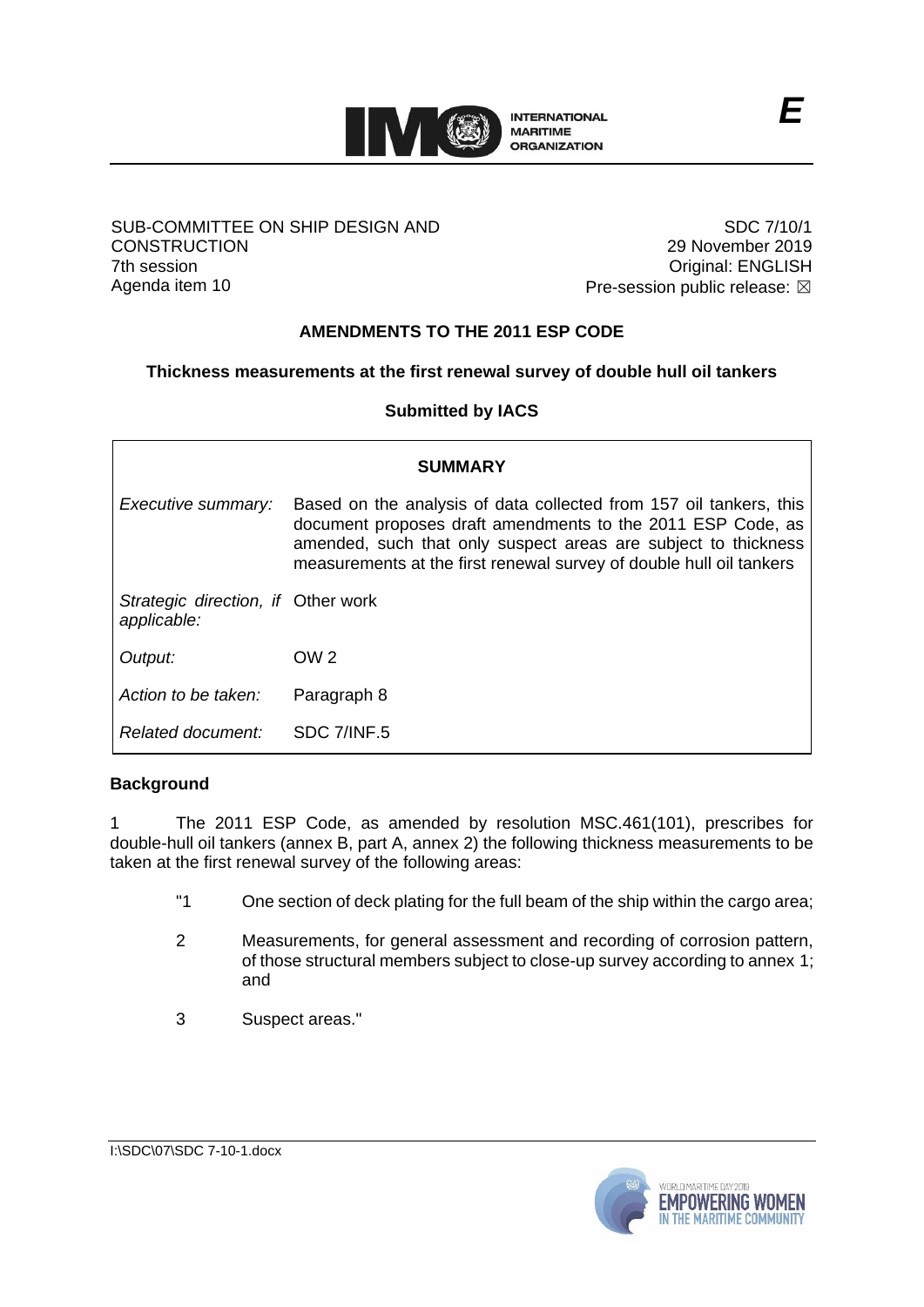

### SUB-COMMITTEE ON SHIP DESIGN AND **CONSTRUCTION** 7th session Agenda item 10

SDC 7/10/1 29 November 2019 Original: ENGLISH Pre-session public release:  $\boxtimes$ 

# **AMENDMENTS TO THE 2011 ESP CODE**

## **Thickness measurements at the first renewal survey of double hull oil tankers**

## **Submitted by IACS**

| <b>SUMMARY</b>                                    |                                                                                                                                                                                                                                                                            |
|---------------------------------------------------|----------------------------------------------------------------------------------------------------------------------------------------------------------------------------------------------------------------------------------------------------------------------------|
| Executive summary:                                | Based on the analysis of data collected from 157 oil tankers, this<br>document proposes draft amendments to the 2011 ESP Code, as<br>amended, such that only suspect areas are subject to thickness<br>measurements at the first renewal survey of double hull oil tankers |
| Strategic direction, if Other work<br>applicable: |                                                                                                                                                                                                                                                                            |
| Output:                                           | OW <sub>2</sub>                                                                                                                                                                                                                                                            |
| Action to be taken:                               | Paragraph 8                                                                                                                                                                                                                                                                |
| Related document:                                 | SDC 7/INF.5                                                                                                                                                                                                                                                                |

## **Background**

1 The 2011 ESP Code, as amended by resolution MSC.461(101), prescribes for double-hull oil tankers (annex B, part A, annex 2) the following thickness measurements to be taken at the first renewal survey of the following areas:

- "1 One section of deck plating for the full beam of the ship within the cargo area;
- 2 Measurements, for general assessment and recording of corrosion pattern, of those structural members subject to close-up survey according to annex 1; and
- 3 Suspect areas."